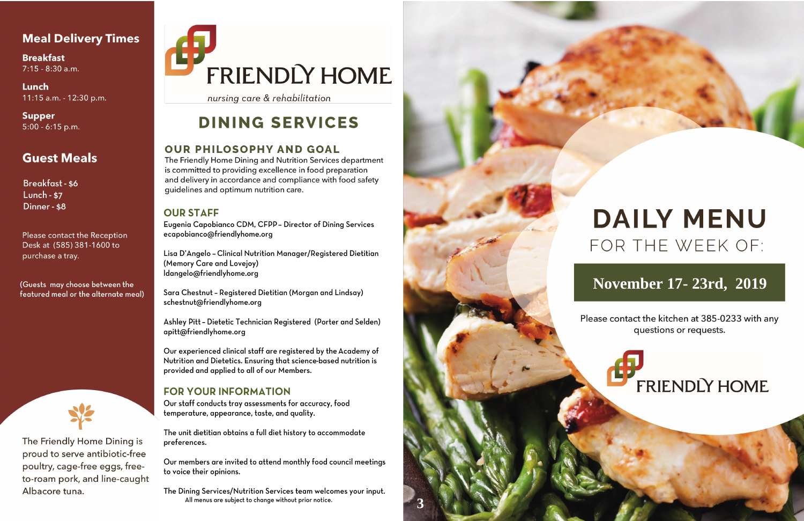## **Meal Delivery Times**

**Breakfast**  $7:15 - 8:30$  a.m.

Lunch 11:15 a.m. - 12:30 p.m.

**Supper**  $5:00 - 6:15$  p.m.

# **Guest Meals**

**Breakfast-\$6 Lunch - \$7** Dinner - \$8

Please contact the Reception Desk at (585) 381-1600 to purchase a tray.

(Guests may choose between the featured meal or the alternate meal)



The Friendly Home Dining is proud to serve antibiotic-free poultry, cage-free eggs, freeto-roam pork, and line-caught Albacore tuna.

# FRIENDLY HOME

nursing care & rehabilitation

# **DINING SERVICES**

### **OUR PHILOSOPHY AND GOAL**

The Friendly Home Dining and Nutrition Services department is committed to providing excellence in food preparation and delivery in accordance and compliance with food safety guidelines and optimum nutrition care.

### **OUR STAFF**

Eugenia Capobianco CDM, CFPP - Director of Dining Services ecapobianco@friendlyhome.org

Lisa D'Angelo - Clinical Nutrition Manager/Registered Dietitian (Memory Care and Lovejoy) ldangelo@friendlyhome.org

Sara Chestnut - Registered Dietitian (Morgan and Lindsay) schestnut@friendlyhome.org

Ashley Pitt - Dietetic Technician Registered (Porter and Selden) apitt@friendlyhome.org

Our experienced clinical staff are registered by the Academy of Nutrition and Dietetics. Ensuring that science-based nutrition is provided and applied to all of our Members.

### **FOR YOUR INFORMATION**

Our staff conducts tray assessments for accuracy, food temperature, appearance, taste, and quality.

The unit dietitian obtains a full diet history to accommodate preferences.

Our members are invited to attend monthly food council meetings to voice their opinions.

The Dining Services/Nutrition Services team welcomes your input. All menus are subject to change without prior notice.



# **DAILY MENU** FOR THE WEEK OF:

# November 17-23rd, 2019

Please contact the kitchen at 385-0233 with any questions or requests.

**FRIENDLY HOME**